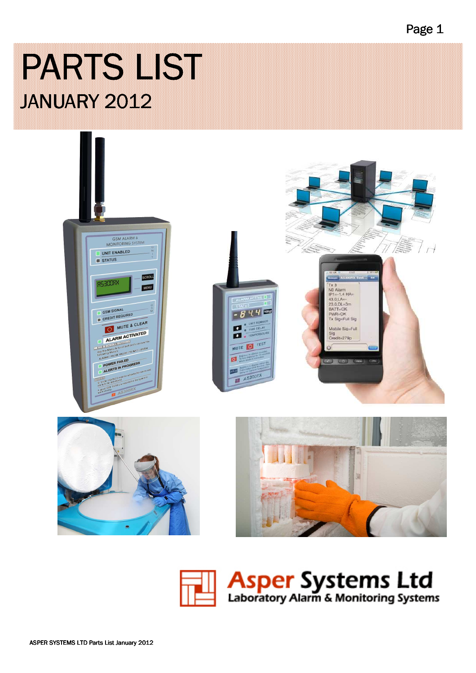PARTS LIST JANUARY 2012



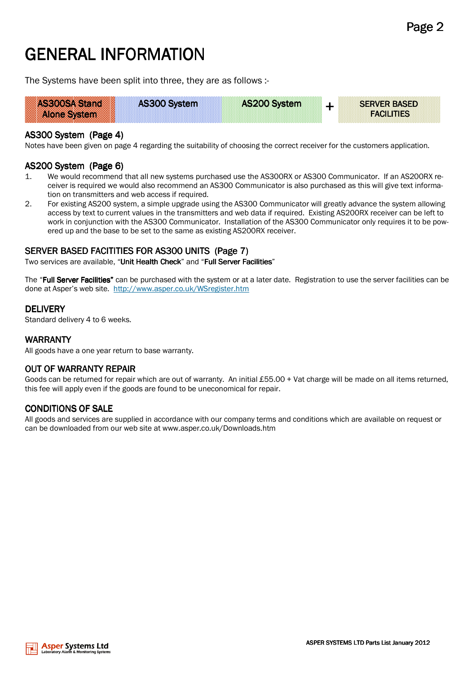# GENERAL INFORMATION

The Systems have been split into three, they are as follows :-



## AS300 System (Page 4)

Notes have been given on page 4 regarding the suitability of choosing the correct receiver for the customers application.

#### AS200 System (Page 6)

- 1. We would recommend that all new systems purchased use the AS300RX or AS300 Communicator. If an AS200RX receiver is required we would also recommend an AS300 Communicator is also purchased as this will give text information on transmitters and web access if required.
- 2. For existing AS200 system, a simple upgrade using the AS300 Communicator will greatly advance the system allowing access by text to current values in the transmitters and web data if required. Existing AS200RX receiver can be left to work in conjunction with the AS300 Communicator. Installation of the AS300 Communicator only requires it to be powered up and the base to be set to the same as existing AS200RX receiver.

### SERVER BASED FACITITIES FOR AS300 UNITS (Page 7)

Two services are available, "Unit Health Check" and "Full Server Facilities"

The "Full Server Facilities" can be purchased with the system or at a later date. Registration to use the server facilities can be done at Asper's web site. http://www.asper.co.uk/WSregister.htm

#### **DELIVERY**

Standard delivery 4 to 6 weeks.

## **WARRANTY**

All goods have a one year return to base warranty.

### OUT OF WARRANTY REPAIR

Goods can be returned for repair which are out of warranty. An initial £55.00 + Vat charge will be made on all items returned, this fee will apply even if the goods are found to be uneconomical for repair.

### **CONDITIONS OF SALE**

All goods and services are supplied in accordance with our company terms and conditions which are available on request or can be downloaded from our web site at www.asper.co.uk/Downloads.htm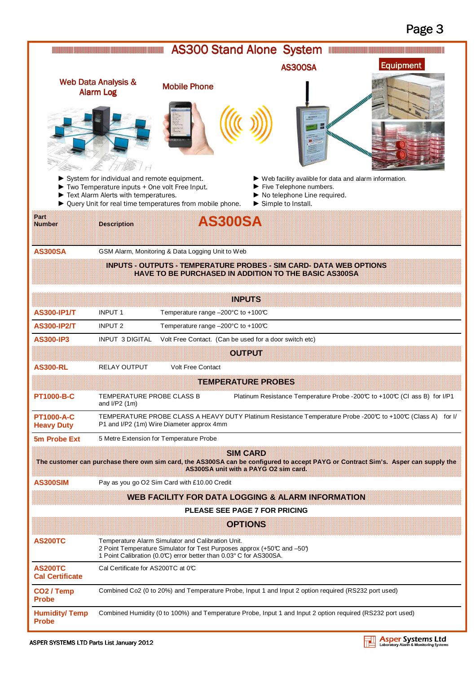|                                          | <u> Hilaya Hilaya Marakatan Marakatan Marakatan Marakatan Ing Pangang Barat Barat Barat Barat Barat Barat Barat Barat Barat Barat Barat Barat Barat Barat Barat Barat Barat Barat Barat Barat Barat Barat Barat Barat Barat Bara</u> | <b>AS300 Stand Alone System</b>                                                                                                                                                                    |                                                          |                                                                                                                                                                              | <u> Maria Maria Maria Maria Maria Maria Maria Maria Maria Maria Maria Maria Maria Maria Maria Maria Maria Maria M</u>              |
|------------------------------------------|--------------------------------------------------------------------------------------------------------------------------------------------------------------------------------------------------------------------------------------|----------------------------------------------------------------------------------------------------------------------------------------------------------------------------------------------------|----------------------------------------------------------|------------------------------------------------------------------------------------------------------------------------------------------------------------------------------|------------------------------------------------------------------------------------------------------------------------------------|
|                                          |                                                                                                                                                                                                                                      |                                                                                                                                                                                                    |                                                          | <b>AS300SA</b>                                                                                                                                                               | <b>Equipment</b>                                                                                                                   |
|                                          | <b>Web Data Analysis &amp;</b><br><b>Alarm Log</b>                                                                                                                                                                                   | <b>Mobile Phone</b>                                                                                                                                                                                |                                                          |                                                                                                                                                                              |                                                                                                                                    |
|                                          |                                                                                                                                                                                                                                      |                                                                                                                                                                                                    |                                                          |                                                                                                                                                                              |                                                                                                                                    |
|                                          | System for individual and remote equipment.<br>$\triangleright$ Two Temperature inputs + One volt Free Input.<br>Text Alarm Alerts with temperatures.                                                                                | ▶ Query Unit for real time temperatures from mobile phone.                                                                                                                                         |                                                          | $\blacktriangleright$ Web facility avalible for data and alarm information.<br>Five Telephone numbers.<br>No telephone Line required.<br>$\triangleright$ Simple to Install. |                                                                                                                                    |
| ikan.<br><b>Number</b>                   | <b>Description</b>                                                                                                                                                                                                                   |                                                                                                                                                                                                    | AS300SA                                                  |                                                                                                                                                                              |                                                                                                                                    |
| <b>AS300SA</b>                           |                                                                                                                                                                                                                                      | GSM Alarm, Monitoring & Data Logging Unit to Web                                                                                                                                                   |                                                          |                                                                                                                                                                              |                                                                                                                                    |
|                                          |                                                                                                                                                                                                                                      | <b>INPUTS - OUTPUTS - TEMPERATURE PROBES - SIM CARD- DATA WEB OPTIONS</b><br><b>HAVE TO BE PURCHASED IN ADDITION TO THE BASIC AS300SA</b>                                                          |                                                          |                                                                                                                                                                              |                                                                                                                                    |
|                                          |                                                                                                                                                                                                                                      |                                                                                                                                                                                                    | <b>INPUTS</b>                                            |                                                                                                                                                                              |                                                                                                                                    |
| <b>AS300-IP1/T</b>                       | <b>INPUT 1</b>                                                                                                                                                                                                                       | Temperature range -200°C to +100℃                                                                                                                                                                  |                                                          |                                                                                                                                                                              |                                                                                                                                    |
| <b>AS300-IP2/T</b>                       | <b>INPUT 2</b>                                                                                                                                                                                                                       | Temperature range -200°C to +100℃                                                                                                                                                                  |                                                          |                                                                                                                                                                              |                                                                                                                                    |
| <b>AS300-IP3</b>                         | <b>INPUT 3 DIGITAL</b>                                                                                                                                                                                                               | Volt Free Contact. (Can be used for a door switch etc)                                                                                                                                             |                                                          |                                                                                                                                                                              |                                                                                                                                    |
|                                          |                                                                                                                                                                                                                                      |                                                                                                                                                                                                    | <b>GIBRELLERE</b>                                        |                                                                                                                                                                              |                                                                                                                                    |
| <b>AS300-RL</b>                          | RELAY OUTPUT                                                                                                                                                                                                                         | <b>Volt Free Contact</b>                                                                                                                                                                           |                                                          |                                                                                                                                                                              |                                                                                                                                    |
|                                          |                                                                                                                                                                                                                                      |                                                                                                                                                                                                    | <b>TEMPERATURE PROBES</b>                                |                                                                                                                                                                              |                                                                                                                                    |
| PT1000-B-C                               | TEMPERATURE PROBE CLASS B<br>and $I/P2$ (1m)                                                                                                                                                                                         |                                                                                                                                                                                                    |                                                          |                                                                                                                                                                              | Platinum Resistance Temperature Probe -200℃ to +100℃ (Cl ass B) for I/P1                                                           |
| <b>PT1000-A-C</b><br><b>Heavy Duty</b>   |                                                                                                                                                                                                                                      | P1 and I/P2 (1m) Wire Diameter approx 4mm                                                                                                                                                          |                                                          |                                                                                                                                                                              | TEMPERATURE PROBE CLASS A HEAVY DUTY Platinum Resistance Temperature Probe -200°C to +100°C (Class A) for I/                       |
| 5m Probe Ext                             |                                                                                                                                                                                                                                      | 5 Metre Extension for Temperature Probe                                                                                                                                                            |                                                          |                                                                                                                                                                              |                                                                                                                                    |
|                                          |                                                                                                                                                                                                                                      |                                                                                                                                                                                                    | <b>SIM GARD</b><br>AS300SA unit with a PAYG O2 sim card. |                                                                                                                                                                              | The customer can purchase there own sim card, the AS300SA can be configured to accept PAYG or Contract Sim's. Asper can supply the |
| <b>AS300SIM</b>                          |                                                                                                                                                                                                                                      | Pay as you go O2 Sim Card with £10.00 Credit                                                                                                                                                       |                                                          |                                                                                                                                                                              |                                                                                                                                    |
|                                          |                                                                                                                                                                                                                                      | WEB FACILITY FOR DATA LOGGING & ALARM INFORMATION                                                                                                                                                  |                                                          |                                                                                                                                                                              |                                                                                                                                    |
|                                          |                                                                                                                                                                                                                                      |                                                                                                                                                                                                    | <b>PLEASE SEE PAGE 7 FOR PRICING</b>                     |                                                                                                                                                                              |                                                                                                                                    |
|                                          |                                                                                                                                                                                                                                      |                                                                                                                                                                                                    | <b>ORTIONS</b>                                           |                                                                                                                                                                              |                                                                                                                                    |
| <b>AS200TC</b>                           |                                                                                                                                                                                                                                      | Temperature Alarm Simulator and Calibration Unit.<br>2 Point Temperature Simulator for Test Purposes approx (+50°C and -50°)<br>1 Point Calibration (0.0°C) error better than 0.03° C for AS300SA. |                                                          |                                                                                                                                                                              |                                                                                                                                    |
| <b>AS200TC</b><br><b>Cal Certificate</b> | Cal Certificate for AS200TC at 0°C                                                                                                                                                                                                   |                                                                                                                                                                                                    |                                                          |                                                                                                                                                                              |                                                                                                                                    |
| CO <sub>2</sub> / Temp<br><b>Probe</b>   |                                                                                                                                                                                                                                      | Combined Co2 (0 to 20%) and Temperature Probe, Input 1 and Input 2 option required (RS232 port used)                                                                                               |                                                          |                                                                                                                                                                              |                                                                                                                                    |
| <b>Humidity/Temp</b><br><b>Probe</b>     |                                                                                                                                                                                                                                      | Combined Humidity (0 to 100%) and Temperature Probe, Input 1 and Input 2 option required (RS232 port used)                                                                                         |                                                          |                                                                                                                                                                              |                                                                                                                                    |

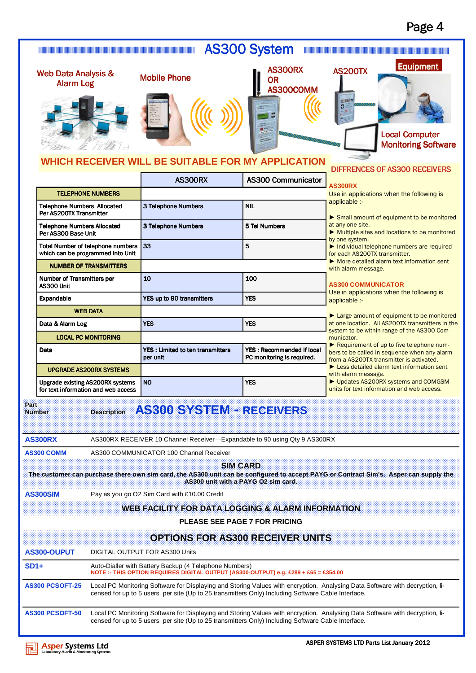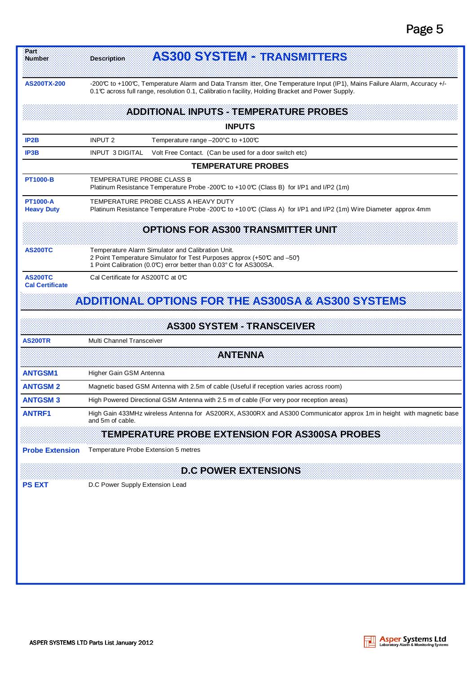| <b>AS200TX-200</b><br>-200°C to +100°C, Temperature Alarm and Data Transm itter, One Temperature Input (IP1), Mains Failure Alarm, Accuracy +/-<br>0.1 C across full range, resolution 0.1, Calibration facility, Holding Bracket and Power Supply.<br><b>ADDITIONAL INPUTS - TEMPERATURE PROBES</b><br><b>INPUTS</b><br><b>INPUT 2</b><br>IP <sub>2</sub> B<br>Temperature range $-200^{\circ}$ C to $+100^{\circ}$<br>IP3B<br><b>INPUT 3 DIGITAL</b><br>Volt Free Contact. (Can be used for a door switch etc)<br><b>TEMPERATURE PROBES</b><br><b>PT1000-B</b><br>TEMPERATURE PROBE CLASS B<br>Platinum Resistance Temperature Probe -200℃ to +10 0℃ (Class B) for I/P1 and I/P2 (1m)<br><b>PT1000-A</b><br>TEMPERATURE PROBE CLASS A HEAVY DUTY<br><b>Heavy Duty</b><br>Platinum Resistance Temperature Probe -200°C to +10 0°C (Class A) for I/P1 and I/P2 (1m) Wire Diameter approx 4mm<br><b>OPTIONS FOR AS300 TRANSMITTER UNIT</b><br><b>AS200TC</b><br>Temperature Alarm Simulator and Calibration Unit.<br>2 Point Temperature Simulator for Test Purposes approx (+50°C and -50°)<br>1 Point Calibration (0.0°C) error better than 0.03° C for AS300SA.<br><b>AS200TC</b><br>Cal Certificate for AS200TC at 0°C<br><b>Cal Certificate</b><br>ADDITIONAL OPTIONS FOR THE AS300SA & AS300 SYSTEMS<br><b>AS300 SYSTEM - TRANSCEIVER</b><br><b>AS200TR</b><br>Multi Channel Transceiver<br>ANTENNA<br><b>ANTGSM1</b><br>Higher Gain GSM Antenna<br><b>ANTGSM2</b><br>Magnetic based GSM Antenna with 2.5m of cable (Useful if reception varies across room)<br><b>ANTGSM3</b><br>High Powered Directional GSM Antenna with 2.5 m of cable (For very poor reception areas)<br><b>ANTRF1</b><br>High Gain 433MHz wireless Antenna for AS200RX, AS300RX and AS300 Communicator approx 1m in height with magnetic base<br>and 5m of cable.<br>TEMPERATURE PROBE EXTENSION FOR AS300SA PROBES<br><b>Probe Extension</b><br>Temperature Probe Extension 5 metres<br><b>D.C POWER EXTENSIONS</b><br>D.C Power Supply Extension Lead<br><b>PS EXT</b> | AS800 SYSTEME TRANSMITTERS | <b>Description</b> | Part:<br>Number |  |
|-----------------------------------------------------------------------------------------------------------------------------------------------------------------------------------------------------------------------------------------------------------------------------------------------------------------------------------------------------------------------------------------------------------------------------------------------------------------------------------------------------------------------------------------------------------------------------------------------------------------------------------------------------------------------------------------------------------------------------------------------------------------------------------------------------------------------------------------------------------------------------------------------------------------------------------------------------------------------------------------------------------------------------------------------------------------------------------------------------------------------------------------------------------------------------------------------------------------------------------------------------------------------------------------------------------------------------------------------------------------------------------------------------------------------------------------------------------------------------------------------------------------------------------------------------------------------------------------------------------------------------------------------------------------------------------------------------------------------------------------------------------------------------------------------------------------------------------------------------------------------------------------------------------------------------------------------------------------------------------------------------------------------------------------------------|----------------------------|--------------------|-----------------|--|
|                                                                                                                                                                                                                                                                                                                                                                                                                                                                                                                                                                                                                                                                                                                                                                                                                                                                                                                                                                                                                                                                                                                                                                                                                                                                                                                                                                                                                                                                                                                                                                                                                                                                                                                                                                                                                                                                                                                                                                                                                                                     |                            |                    |                 |  |
|                                                                                                                                                                                                                                                                                                                                                                                                                                                                                                                                                                                                                                                                                                                                                                                                                                                                                                                                                                                                                                                                                                                                                                                                                                                                                                                                                                                                                                                                                                                                                                                                                                                                                                                                                                                                                                                                                                                                                                                                                                                     |                            |                    |                 |  |
|                                                                                                                                                                                                                                                                                                                                                                                                                                                                                                                                                                                                                                                                                                                                                                                                                                                                                                                                                                                                                                                                                                                                                                                                                                                                                                                                                                                                                                                                                                                                                                                                                                                                                                                                                                                                                                                                                                                                                                                                                                                     |                            |                    |                 |  |
|                                                                                                                                                                                                                                                                                                                                                                                                                                                                                                                                                                                                                                                                                                                                                                                                                                                                                                                                                                                                                                                                                                                                                                                                                                                                                                                                                                                                                                                                                                                                                                                                                                                                                                                                                                                                                                                                                                                                                                                                                                                     |                            |                    |                 |  |
|                                                                                                                                                                                                                                                                                                                                                                                                                                                                                                                                                                                                                                                                                                                                                                                                                                                                                                                                                                                                                                                                                                                                                                                                                                                                                                                                                                                                                                                                                                                                                                                                                                                                                                                                                                                                                                                                                                                                                                                                                                                     |                            |                    |                 |  |
|                                                                                                                                                                                                                                                                                                                                                                                                                                                                                                                                                                                                                                                                                                                                                                                                                                                                                                                                                                                                                                                                                                                                                                                                                                                                                                                                                                                                                                                                                                                                                                                                                                                                                                                                                                                                                                                                                                                                                                                                                                                     |                            |                    |                 |  |
|                                                                                                                                                                                                                                                                                                                                                                                                                                                                                                                                                                                                                                                                                                                                                                                                                                                                                                                                                                                                                                                                                                                                                                                                                                                                                                                                                                                                                                                                                                                                                                                                                                                                                                                                                                                                                                                                                                                                                                                                                                                     |                            |                    |                 |  |
|                                                                                                                                                                                                                                                                                                                                                                                                                                                                                                                                                                                                                                                                                                                                                                                                                                                                                                                                                                                                                                                                                                                                                                                                                                                                                                                                                                                                                                                                                                                                                                                                                                                                                                                                                                                                                                                                                                                                                                                                                                                     |                            |                    |                 |  |
|                                                                                                                                                                                                                                                                                                                                                                                                                                                                                                                                                                                                                                                                                                                                                                                                                                                                                                                                                                                                                                                                                                                                                                                                                                                                                                                                                                                                                                                                                                                                                                                                                                                                                                                                                                                                                                                                                                                                                                                                                                                     |                            |                    |                 |  |
|                                                                                                                                                                                                                                                                                                                                                                                                                                                                                                                                                                                                                                                                                                                                                                                                                                                                                                                                                                                                                                                                                                                                                                                                                                                                                                                                                                                                                                                                                                                                                                                                                                                                                                                                                                                                                                                                                                                                                                                                                                                     |                            |                    |                 |  |
|                                                                                                                                                                                                                                                                                                                                                                                                                                                                                                                                                                                                                                                                                                                                                                                                                                                                                                                                                                                                                                                                                                                                                                                                                                                                                                                                                                                                                                                                                                                                                                                                                                                                                                                                                                                                                                                                                                                                                                                                                                                     |                            |                    |                 |  |
|                                                                                                                                                                                                                                                                                                                                                                                                                                                                                                                                                                                                                                                                                                                                                                                                                                                                                                                                                                                                                                                                                                                                                                                                                                                                                                                                                                                                                                                                                                                                                                                                                                                                                                                                                                                                                                                                                                                                                                                                                                                     |                            |                    |                 |  |
|                                                                                                                                                                                                                                                                                                                                                                                                                                                                                                                                                                                                                                                                                                                                                                                                                                                                                                                                                                                                                                                                                                                                                                                                                                                                                                                                                                                                                                                                                                                                                                                                                                                                                                                                                                                                                                                                                                                                                                                                                                                     |                            |                    |                 |  |
|                                                                                                                                                                                                                                                                                                                                                                                                                                                                                                                                                                                                                                                                                                                                                                                                                                                                                                                                                                                                                                                                                                                                                                                                                                                                                                                                                                                                                                                                                                                                                                                                                                                                                                                                                                                                                                                                                                                                                                                                                                                     |                            |                    |                 |  |
|                                                                                                                                                                                                                                                                                                                                                                                                                                                                                                                                                                                                                                                                                                                                                                                                                                                                                                                                                                                                                                                                                                                                                                                                                                                                                                                                                                                                                                                                                                                                                                                                                                                                                                                                                                                                                                                                                                                                                                                                                                                     |                            |                    |                 |  |
|                                                                                                                                                                                                                                                                                                                                                                                                                                                                                                                                                                                                                                                                                                                                                                                                                                                                                                                                                                                                                                                                                                                                                                                                                                                                                                                                                                                                                                                                                                                                                                                                                                                                                                                                                                                                                                                                                                                                                                                                                                                     |                            |                    |                 |  |
|                                                                                                                                                                                                                                                                                                                                                                                                                                                                                                                                                                                                                                                                                                                                                                                                                                                                                                                                                                                                                                                                                                                                                                                                                                                                                                                                                                                                                                                                                                                                                                                                                                                                                                                                                                                                                                                                                                                                                                                                                                                     |                            |                    |                 |  |
|                                                                                                                                                                                                                                                                                                                                                                                                                                                                                                                                                                                                                                                                                                                                                                                                                                                                                                                                                                                                                                                                                                                                                                                                                                                                                                                                                                                                                                                                                                                                                                                                                                                                                                                                                                                                                                                                                                                                                                                                                                                     |                            |                    |                 |  |
|                                                                                                                                                                                                                                                                                                                                                                                                                                                                                                                                                                                                                                                                                                                                                                                                                                                                                                                                                                                                                                                                                                                                                                                                                                                                                                                                                                                                                                                                                                                                                                                                                                                                                                                                                                                                                                                                                                                                                                                                                                                     |                            |                    |                 |  |
|                                                                                                                                                                                                                                                                                                                                                                                                                                                                                                                                                                                                                                                                                                                                                                                                                                                                                                                                                                                                                                                                                                                                                                                                                                                                                                                                                                                                                                                                                                                                                                                                                                                                                                                                                                                                                                                                                                                                                                                                                                                     |                            |                    |                 |  |
|                                                                                                                                                                                                                                                                                                                                                                                                                                                                                                                                                                                                                                                                                                                                                                                                                                                                                                                                                                                                                                                                                                                                                                                                                                                                                                                                                                                                                                                                                                                                                                                                                                                                                                                                                                                                                                                                                                                                                                                                                                                     |                            |                    |                 |  |
|                                                                                                                                                                                                                                                                                                                                                                                                                                                                                                                                                                                                                                                                                                                                                                                                                                                                                                                                                                                                                                                                                                                                                                                                                                                                                                                                                                                                                                                                                                                                                                                                                                                                                                                                                                                                                                                                                                                                                                                                                                                     |                            |                    |                 |  |
|                                                                                                                                                                                                                                                                                                                                                                                                                                                                                                                                                                                                                                                                                                                                                                                                                                                                                                                                                                                                                                                                                                                                                                                                                                                                                                                                                                                                                                                                                                                                                                                                                                                                                                                                                                                                                                                                                                                                                                                                                                                     |                            |                    |                 |  |
|                                                                                                                                                                                                                                                                                                                                                                                                                                                                                                                                                                                                                                                                                                                                                                                                                                                                                                                                                                                                                                                                                                                                                                                                                                                                                                                                                                                                                                                                                                                                                                                                                                                                                                                                                                                                                                                                                                                                                                                                                                                     |                            |                    |                 |  |
|                                                                                                                                                                                                                                                                                                                                                                                                                                                                                                                                                                                                                                                                                                                                                                                                                                                                                                                                                                                                                                                                                                                                                                                                                                                                                                                                                                                                                                                                                                                                                                                                                                                                                                                                                                                                                                                                                                                                                                                                                                                     |                            |                    |                 |  |
|                                                                                                                                                                                                                                                                                                                                                                                                                                                                                                                                                                                                                                                                                                                                                                                                                                                                                                                                                                                                                                                                                                                                                                                                                                                                                                                                                                                                                                                                                                                                                                                                                                                                                                                                                                                                                                                                                                                                                                                                                                                     |                            |                    |                 |  |
|                                                                                                                                                                                                                                                                                                                                                                                                                                                                                                                                                                                                                                                                                                                                                                                                                                                                                                                                                                                                                                                                                                                                                                                                                                                                                                                                                                                                                                                                                                                                                                                                                                                                                                                                                                                                                                                                                                                                                                                                                                                     |                            |                    |                 |  |
|                                                                                                                                                                                                                                                                                                                                                                                                                                                                                                                                                                                                                                                                                                                                                                                                                                                                                                                                                                                                                                                                                                                                                                                                                                                                                                                                                                                                                                                                                                                                                                                                                                                                                                                                                                                                                                                                                                                                                                                                                                                     |                            |                    |                 |  |

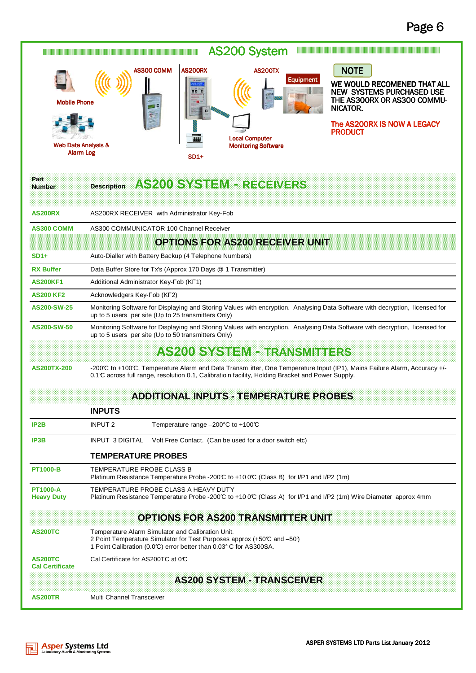| <b>AS200 System</b><br><u> III. Album album album album album album album album album album album album album album album album album a</u><br><u> Alimento de la componentación de la componentación de la componentación de la componentación de la componentación de la componentación de la componentación de la componentación de la componentación de la componentación d</u>                    |                                                                                                                                                                                                                                |  |  |  |  |
|--------------------------------------------------------------------------------------------------------------------------------------------------------------------------------------------------------------------------------------------------------------------------------------------------------------------------------------------------------------------------------------------------------|--------------------------------------------------------------------------------------------------------------------------------------------------------------------------------------------------------------------------------|--|--|--|--|
| <b>NOTE</b><br><b>AS200RX</b><br>AS300 COMM<br><b>AS200TX</b><br>Equipment<br>WE WOULD RECOMENED THAT ALL<br><b>00 0</b><br><b>NEW SYSTEMS PURCHASED USE</b><br>THE AS300RX OR AS300 COMMU-<br><b>Mobile Phone</b><br>ΞВ<br>NICATOR.<br>The AS200RX IS NOW A LEGACY<br><b>PRODUCT</b><br><b>Local Computer</b><br>翻<br>Web Data Analysis &<br><b>Monitoring Software</b><br><b>Alarm Log</b><br>$SD1+$ |                                                                                                                                                                                                                                |  |  |  |  |
| Part<br><b>Number</b>                                                                                                                                                                                                                                                                                                                                                                                  | AS2008SYSTEMBEREGEMERS<br><b>Description</b>                                                                                                                                                                                   |  |  |  |  |
| <b>AS200RX</b>                                                                                                                                                                                                                                                                                                                                                                                         | AS200RX RECEIVER with Administrator Key-Fob                                                                                                                                                                                    |  |  |  |  |
| <b>AS300 COMM</b>                                                                                                                                                                                                                                                                                                                                                                                      | AS300 COMMUNICATOR 100 Channel Receiver                                                                                                                                                                                        |  |  |  |  |
|                                                                                                                                                                                                                                                                                                                                                                                                        | <b>OPTIONS FOR AS200 RECEIVER UNIT</b>                                                                                                                                                                                         |  |  |  |  |
| $SD1+$                                                                                                                                                                                                                                                                                                                                                                                                 | Auto-Dialler with Battery Backup (4 Telephone Numbers)                                                                                                                                                                         |  |  |  |  |
| <b>RX Buffer</b>                                                                                                                                                                                                                                                                                                                                                                                       | Data Buffer Store for Tx's (Approx 170 Days @ 1 Transmitter)                                                                                                                                                                   |  |  |  |  |
| <b>AS200KF1</b>                                                                                                                                                                                                                                                                                                                                                                                        | Additional Administrator Key-Fob (KF1)                                                                                                                                                                                         |  |  |  |  |
| <b>AS200 KF2</b>                                                                                                                                                                                                                                                                                                                                                                                       | Acknowledgers Key-Fob (KF2)                                                                                                                                                                                                    |  |  |  |  |
| AS200-SW-25                                                                                                                                                                                                                                                                                                                                                                                            | Monitoring Software for Displaying and Storing Values with encryption. Analysing Data Software with decryption, licensed for<br>up to 5 users per site (Up to 25 transmitters Only)                                            |  |  |  |  |
| AS200-SW-50                                                                                                                                                                                                                                                                                                                                                                                            | Monitoring Software for Displaying and Storing Values with encryption. Analysing Data Software with decryption, licensed for<br>up to 5 users per site (Up to 50 transmitters Only)                                            |  |  |  |  |
|                                                                                                                                                                                                                                                                                                                                                                                                        | <b>AS200 SYSTEM - TRANSMITTERS</b>                                                                                                                                                                                             |  |  |  |  |
| <b>AS200TX-200</b>                                                                                                                                                                                                                                                                                                                                                                                     | -200°C to +100°C, Temperature Alarm and Data Transm itter, One Temperature Input (IP1), Mains Failure Alarm, Accuracy +/-<br>0.1 C across full range, resolution 0.1, Calibratio n facility, Holding Bracket and Power Supply. |  |  |  |  |
|                                                                                                                                                                                                                                                                                                                                                                                                        | <b>ADDITIONAL INPUTS - TEMPERATURE PROBES</b>                                                                                                                                                                                  |  |  |  |  |
|                                                                                                                                                                                                                                                                                                                                                                                                        | <b>INPUTS</b>                                                                                                                                                                                                                  |  |  |  |  |
| IP <sub>2</sub> B                                                                                                                                                                                                                                                                                                                                                                                      | <b>INPUT 2</b><br>Temperature range $-200^{\circ}$ C to +100°C                                                                                                                                                                 |  |  |  |  |
| IP3B                                                                                                                                                                                                                                                                                                                                                                                                   | <b>INPUT 3 DIGITAL</b><br>Volt Free Contact. (Can be used for a door switch etc)                                                                                                                                               |  |  |  |  |
|                                                                                                                                                                                                                                                                                                                                                                                                        | <b>TEMPERATURE PROBES</b>                                                                                                                                                                                                      |  |  |  |  |
| <b>PT1000-B</b>                                                                                                                                                                                                                                                                                                                                                                                        | TEMPERATURE PROBE CLASS B<br>Platinum Resistance Temperature Probe -200℃ to +10 0℃ (Class B) for I/P1 and I/P2 (1m)                                                                                                            |  |  |  |  |
| <b>PT1000-A</b><br><b>Heavy Duty</b>                                                                                                                                                                                                                                                                                                                                                                   | TEMPERATURE PROBE CLASS A HEAVY DUTY<br>Platinum Resistance Temperature Probe -200°C to +100°C (Class A) for I/P1 and I/P2 (1m) Wire Diameter approx 4mm                                                                       |  |  |  |  |
|                                                                                                                                                                                                                                                                                                                                                                                                        | <b>OPTIONS FOR AS200 TRANSMITTER UNIT</b>                                                                                                                                                                                      |  |  |  |  |
| <b>AS200TC</b>                                                                                                                                                                                                                                                                                                                                                                                         | Temperature Alarm Simulator and Calibration Unit.<br>2 Point Temperature Simulator for Test Purposes approx (+50°C and -50°)<br>1 Point Calibration (0.0°C) error better than 0.03° C for AS300SA.                             |  |  |  |  |
| <b>AS200TC</b><br><b>Cal Certificate</b>                                                                                                                                                                                                                                                                                                                                                               | Cal Certificate for AS200TC at 0°C                                                                                                                                                                                             |  |  |  |  |
|                                                                                                                                                                                                                                                                                                                                                                                                        | <b>AS200 SYSTEM - TRANSCEIVER</b>                                                                                                                                                                                              |  |  |  |  |
| <b>AS200TR</b>                                                                                                                                                                                                                                                                                                                                                                                         | Multi Channel Transceiver                                                                                                                                                                                                      |  |  |  |  |